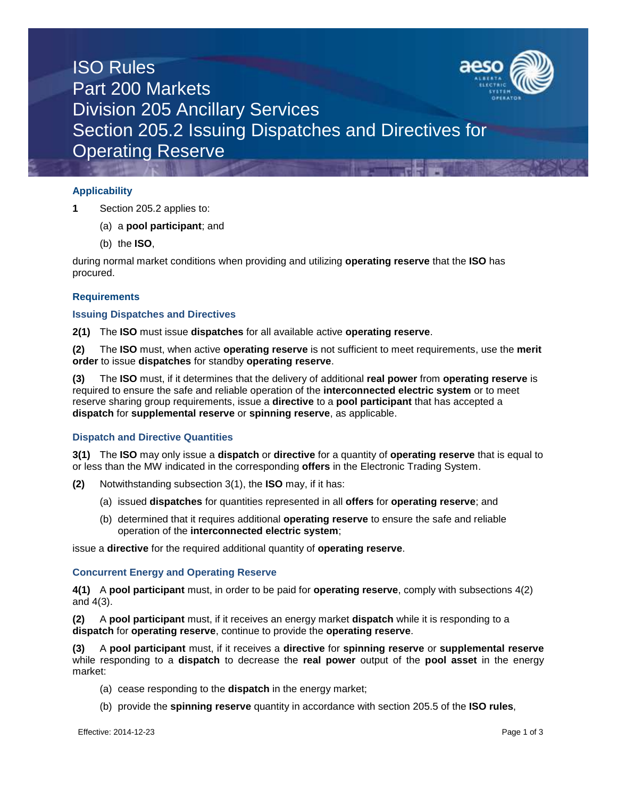

# ISO Rules Part 200 Markets Division 205 Ancillary Services Section 205.2 Issuing Dispatches and Directives for Operating Reserve

## **Applicability**

- **1** Section 205.2 applies to:
	- (a) a **pool participant**; and
	- (b) the **ISO**,

during normal market conditions when providing and utilizing **operating reserve** that the **ISO** has procured.

### **Requirements**

### **Issuing Dispatches and Directives**

**2(1)** The **ISO** must issue **dispatches** for all available active **operating reserve**.

**(2)** The **ISO** must, when active **operating reserve** is not sufficient to meet requirements, use the **merit order** to issue **dispatches** for standby **operating reserve**.

**(3)** The **ISO** must, if it determines that the delivery of additional **real power** from **operating reserve** is required to ensure the safe and reliable operation of the **interconnected electric system** or to meet reserve sharing group requirements, issue a **directive** to a **pool participant** that has accepted a **dispatch** for **supplemental reserve** or **spinning reserve**, as applicable.

### **Dispatch and Directive Quantities**

**3(1)** The **ISO** may only issue a **dispatch** or **directive** for a quantity of **operating reserve** that is equal to or less than the MW indicated in the corresponding **offers** in the Electronic Trading System.

- **(2)** Notwithstanding subsection 3(1), the **ISO** may, if it has:
	- (a) issued **dispatches** for quantities represented in all **offers** for **operating reserve**; and
	- (b) determined that it requires additional **operating reserve** to ensure the safe and reliable operation of the **interconnected electric system**;

issue a **directive** for the required additional quantity of **operating reserve**.

### **Concurrent Energy and Operating Reserve**

**4(1)** A **pool participant** must, in order to be paid for **operating reserve**, comply with subsections 4(2) and 4(3).

**(2)** A **pool participant** must, if it receives an energy market **dispatch** while it is responding to a **dispatch** for **operating reserve**, continue to provide the **operating reserve**.

**(3)** A **pool participant** must, if it receives a **directive** for **spinning reserve** or **supplemental reserve**  while responding to a **dispatch** to decrease the **real power** output of the **pool asset** in the energy market:

- (a) cease responding to the **dispatch** in the energy market;
- (b) provide the **spinning reserve** quantity in accordance with section 205.5 of the **ISO rules**,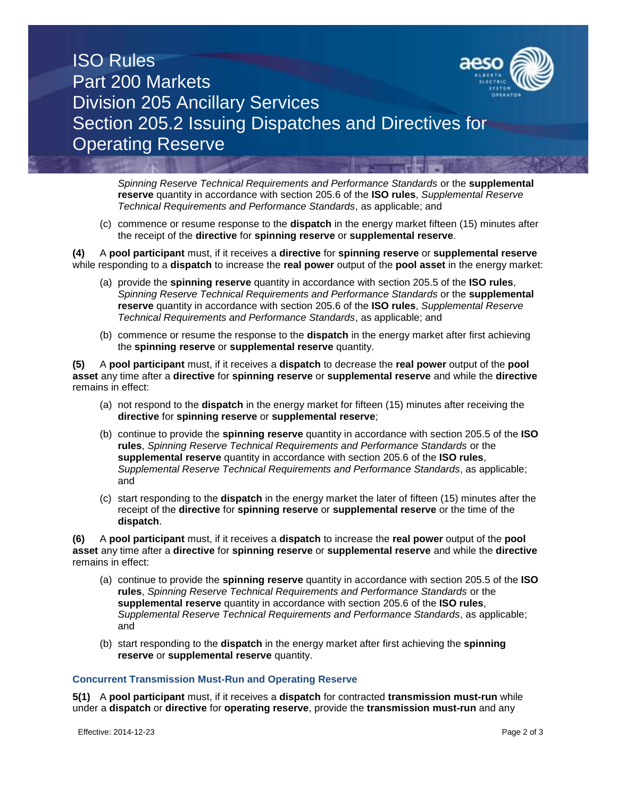

## ISO Rules Part 200 Markets Division 205 Ancillary Services Section 205.2 Issuing Dispatches and Directives for Operating Reserve

*Spinning Reserve Technical Requirements and Performance Standards* or the **supplemental reserve** quantity in accordance with section 205.6 of the **ISO rules**, *Supplemental Reserve Technical Requirements and Performance Standards*, as applicable; and

(c) commence or resume response to the **dispatch** in the energy market fifteen (15) minutes after the receipt of the **directive** for **spinning reserve** or **supplemental reserve**.

**(4)** A **pool participant** must, if it receives a **directive** for **spinning reserve** or **supplemental reserve** while responding to a **dispatch** to increase the **real power** output of the **pool asset** in the energy market:

- (a) provide the **spinning reserve** quantity in accordance with section 205.5 of the **ISO rules**, *Spinning Reserve Technical Requirements and Performance Standards* or the **supplemental reserve** quantity in accordance with section 205.6 of the **ISO rules**, *Supplemental Reserve Technical Requirements and Performance Standards*, as applicable; and
- (b) commence or resume the response to the **dispatch** in the energy market after first achieving the **spinning reserve** or **supplemental reserve** quantity.

**(5)** A **pool participant** must, if it receives a **dispatch** to decrease the **real power** output of the **pool asset** any time after a **directive** for **spinning reserve** or **supplemental reserve** and while the **directive** remains in effect:

- (a) not respond to the **dispatch** in the energy market for fifteen (15) minutes after receiving the **directive** for **spinning reserve** or **supplemental reserve**;
- (b) continue to provide the **spinning reserve** quantity in accordance with section 205.5 of the **ISO rules**, *Spinning Reserve Technical Requirements and Performance Standards* or the **supplemental reserve** quantity in accordance with section 205.6 of the **ISO rules**, *Supplemental Reserve Technical Requirements and Performance Standards*, as applicable; and
- (c) start responding to the **dispatch** in the energy market the later of fifteen (15) minutes after the receipt of the **directive** for **spinning reserve** or **supplemental reserve** or the time of the **dispatch**.

**(6)** A **pool participant** must, if it receives a **dispatch** to increase the **real power** output of the **pool asset** any time after a **directive** for **spinning reserve** or **supplemental reserve** and while the **directive** remains in effect:

- (a) continue to provide the **spinning reserve** quantity in accordance with section 205.5 of the **ISO rules**, *Spinning Reserve Technical Requirements and Performance Standards* or the **supplemental reserve** quantity in accordance with section 205.6 of the **ISO rules**, *Supplemental Reserve Technical Requirements and Performance Standards*, as applicable; and
- (b) start responding to the **dispatch** in the energy market after first achieving the **spinning reserve** or **supplemental reserve** quantity.

#### **Concurrent Transmission Must-Run and Operating Reserve**

**5(1)** A **pool participant** must, if it receives a **dispatch** for contracted **transmission must-run** while under a **dispatch** or **directive** for **operating reserve**, provide the **transmission must-run** and any